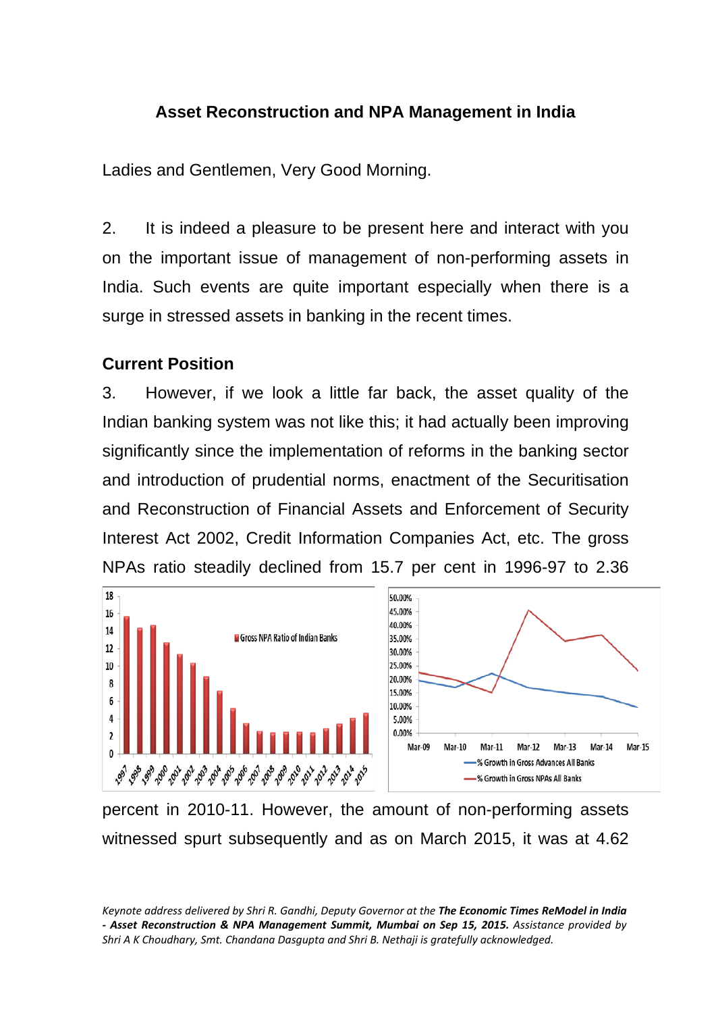# **Asset Reconstruction and NPA Management in India**

Ladies and Gentlemen, Very Good Morning.

2. It is indeed a pleasure to be present here and interact with you on the important issue of management of non-performing assets in India. Such events are quite important especially when there is a surge in stressed assets in banking in the recent times.

# **Current Position**

3. However, if we look a little far back, the asset quality of the Indian banking system was not like this; it had actually been improving significantly since the implementation of reforms in the banking sector and introduction of prudential norms, enactment of the Securitisation and Reconstruction of Financial Assets and Enforcement of Security Interest Act 2002, Credit Information Companies Act, etc. The gross NPAs ratio steadily declined from 15.7 per cent in 1996-97 to 2.36



percent in 2010-11. However, the amount of non-performing assets witnessed spurt subsequently and as on March 2015, it was at 4.62

*Keynote address delivered by Shri R. Gandhi, Deputy Governor at the The Economic Times ReModel in India - Asset Reconstruction & NPA Management Summit, Mumbai on Sep 15, 2015. Assistance provided by Shri A K Choudhary, Smt. Chandana Dasgupta and Shri B. Nethaji is gratefully acknowledged.*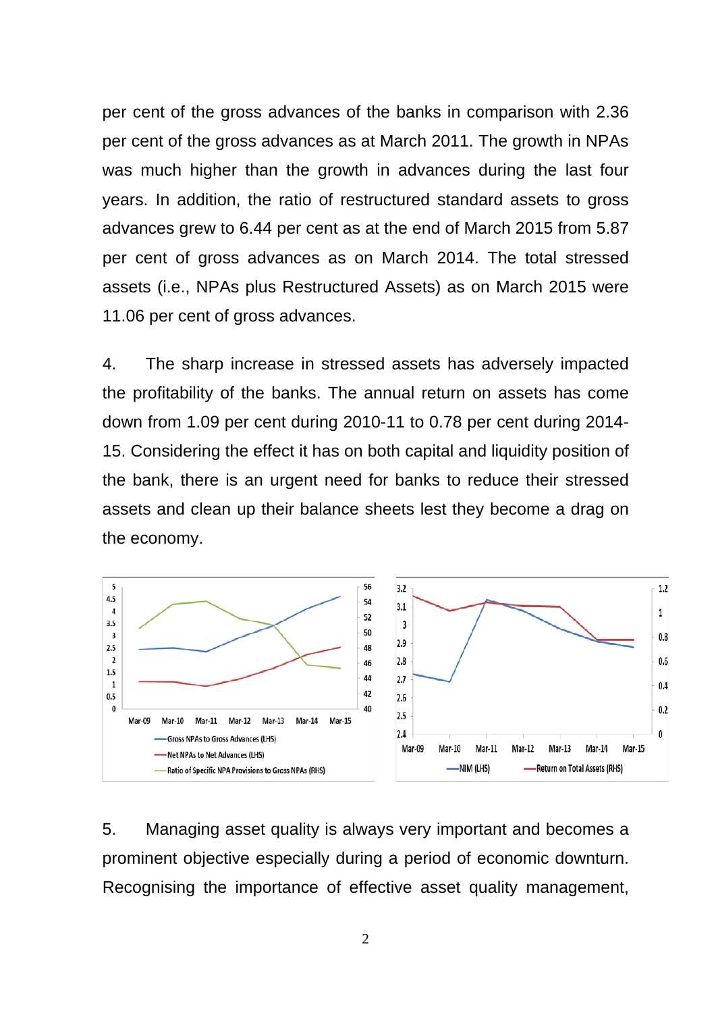per cent of the gross advances of the banks in comparison with 2.36 per cent of the gross advances as at March 2011. The growth in NPAs was much higher than the growth in advances during the last four years. In addition, the ratio of restructured standard assets to gross advances grew to 6.44 per cent as at the end of March 2015 from 5.87 per cent of gross advances as on March 2014. The total stressed assets (i.e., NPAs plus Restructured Assets) as on March 2015 were 11.06 per cent of gross advances.

4. The sharp increase in stressed assets has adversely impacted the profitability of the banks. The annual return on assets has come down from 1.09 per cent during 2010-11 to 0.78 per cent during 2014- 15. Considering the effect it has on both capital and liquidity position of the bank, there is an urgent need for banks to reduce their stressed assets and clean up their balance sheets lest they become a drag on the economy.



5. Managing asset quality is always very important and becomes a prominent objective especially during a period of economic downturn. Recognising the importance of effective asset quality management,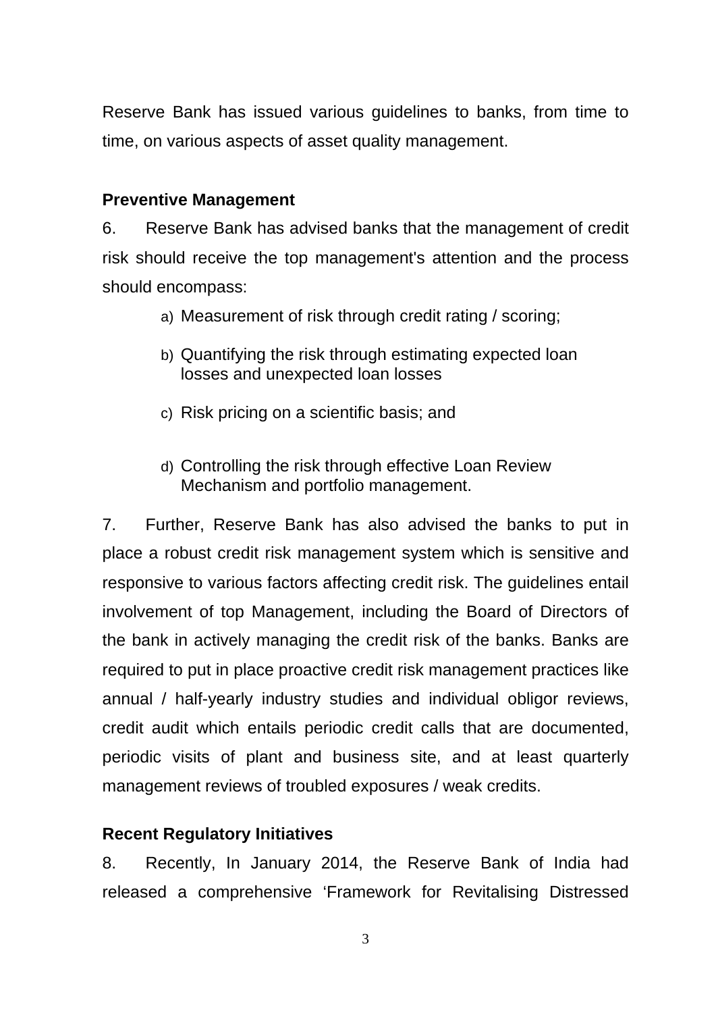Reserve Bank has issued various guidelines to banks, from time to time, on various aspects of asset quality management.

## **Preventive Management**

6. Reserve Bank has advised banks that the management of credit risk should receive the top management's attention and the process should encompass:

- a) Measurement of risk through credit rating / scoring;
- b) Quantifying the risk through estimating expected loan losses and unexpected loan losses
- c) Risk pricing on a scientific basis; and
- d) Controlling the risk through effective Loan Review Mechanism and portfolio management.

7. Further, Reserve Bank has also advised the banks to put in place a robust credit risk management system which is sensitive and responsive to various factors affecting credit risk. The guidelines entail involvement of top Management, including the Board of Directors of the bank in actively managing the credit risk of the banks. Banks are required to put in place proactive credit risk management practices like annual / half-yearly industry studies and individual obligor reviews, credit audit which entails periodic credit calls that are documented, periodic visits of plant and business site, and at least quarterly management reviews of troubled exposures / weak credits.

## **Recent Regulatory Initiatives**

8. Recently, In January 2014, the Reserve Bank of India had released a comprehensive 'Framework for Revitalising Distressed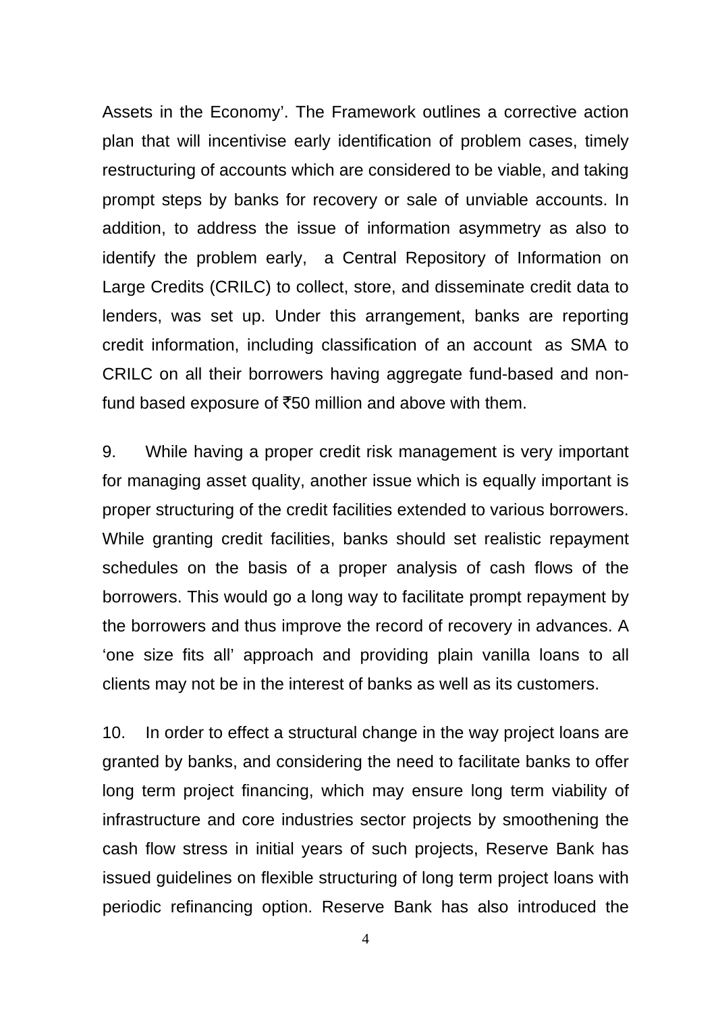Assets in the Economy'. The Framework outlines a corrective action plan that will incentivise early identification of problem cases, timely restructuring of accounts which are considered to be viable, and taking prompt steps by banks for recovery or sale of unviable accounts. In addition, to address the issue of information asymmetry as also to identify the problem early, a Central Repository of Information on Large Credits (CRILC) to collect, store, and disseminate credit data to lenders, was set up. Under this arrangement, banks are reporting credit information, including classification of an account as SMA to CRILC on all their borrowers having aggregate fund-based and nonfund based exposure of  $\overline{550}$  million and above with them.

9. While having a proper credit risk management is very important for managing asset quality, another issue which is equally important is proper structuring of the credit facilities extended to various borrowers. While granting credit facilities, banks should set realistic repayment schedules on the basis of a proper analysis of cash flows of the borrowers. This would go a long way to facilitate prompt repayment by the borrowers and thus improve the record of recovery in advances. A 'one size fits all' approach and providing plain vanilla loans to all clients may not be in the interest of banks as well as its customers.

10. In order to effect a structural change in the way project loans are granted by banks, and considering the need to facilitate banks to offer long term project financing, which may ensure long term viability of infrastructure and core industries sector projects by smoothening the cash flow stress in initial years of such projects, Reserve Bank has issued guidelines on flexible structuring of long term project loans with periodic refinancing option. Reserve Bank has also introduced the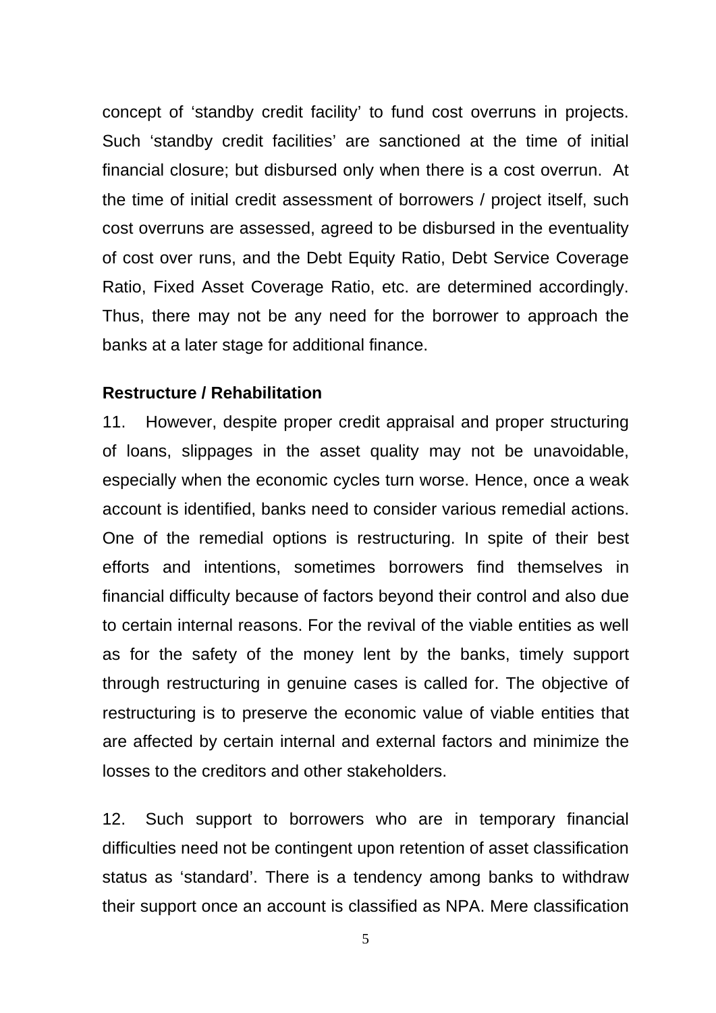concept of 'standby credit facility' to fund cost overruns in projects. Such 'standby credit facilities' are sanctioned at the time of initial financial closure; but disbursed only when there is a cost overrun. At the time of initial credit assessment of borrowers / project itself, such cost overruns are assessed, agreed to be disbursed in the eventuality of cost over runs, and the Debt Equity Ratio, Debt Service Coverage Ratio, Fixed Asset Coverage Ratio, etc. are determined accordingly. Thus, there may not be any need for the borrower to approach the banks at a later stage for additional finance.

### **Restructure / Rehabilitation**

11. However, despite proper credit appraisal and proper structuring of loans, slippages in the asset quality may not be unavoidable, especially when the economic cycles turn worse. Hence, once a weak account is identified, banks need to consider various remedial actions. One of the remedial options is restructuring. In spite of their best efforts and intentions, sometimes borrowers find themselves in financial difficulty because of factors beyond their control and also due to certain internal reasons. For the revival of the viable entities as well as for the safety of the money lent by the banks, timely support through restructuring in genuine cases is called for. The objective of restructuring is to preserve the economic value of viable entities that are affected by certain internal and external factors and minimize the losses to the creditors and other stakeholders.

12. Such support to borrowers who are in temporary financial difficulties need not be contingent upon retention of asset classification status as 'standard'. There is a tendency among banks to withdraw their support once an account is classified as NPA. Mere classification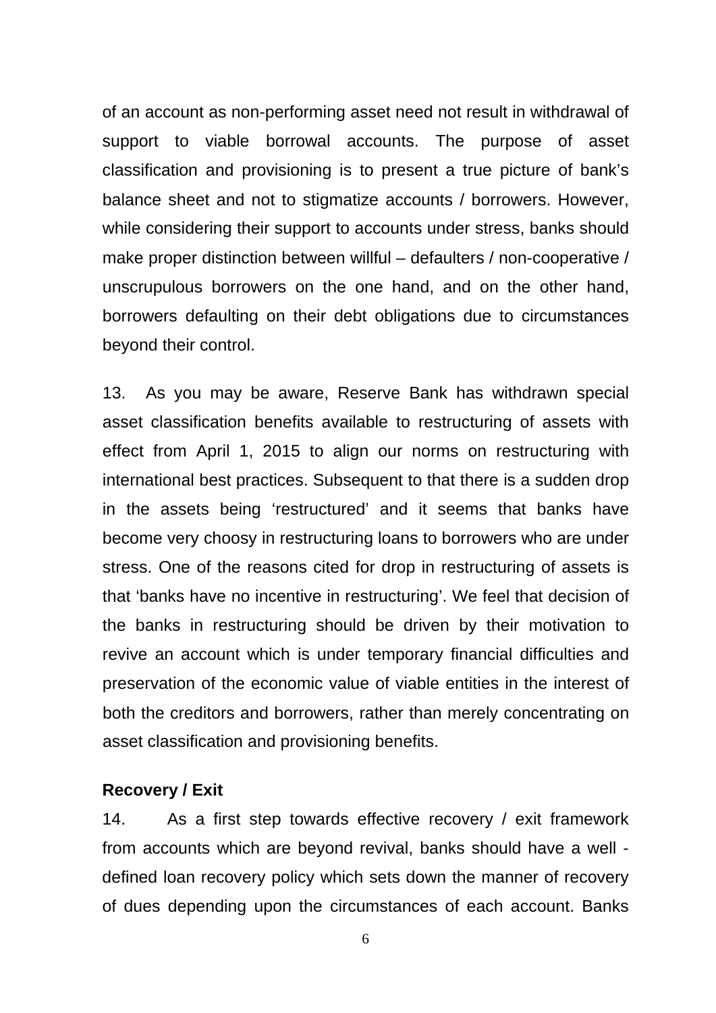of an account as non-performing asset need not result in withdrawal of support to viable borrowal accounts. The purpose of asset classification and provisioning is to present a true picture of bank's balance sheet and not to stigmatize accounts / borrowers. However, while considering their support to accounts under stress, banks should make proper distinction between willful – defaulters / non-cooperative / unscrupulous borrowers on the one hand, and on the other hand, borrowers defaulting on their debt obligations due to circumstances beyond their control.

13. As you may be aware, Reserve Bank has withdrawn special asset classification benefits available to restructuring of assets with effect from April 1, 2015 to align our norms on restructuring with international best practices. Subsequent to that there is a sudden drop in the assets being 'restructured' and it seems that banks have become very choosy in restructuring loans to borrowers who are under stress. One of the reasons cited for drop in restructuring of assets is that 'banks have no incentive in restructuring'. We feel that decision of the banks in restructuring should be driven by their motivation to revive an account which is under temporary financial difficulties and preservation of the economic value of viable entities in the interest of both the creditors and borrowers, rather than merely concentrating on asset classification and provisioning benefits.

### **Recovery / Exit**

14. As a first step towards effective recovery / exit framework from accounts which are beyond revival, banks should have a well defined loan recovery policy which sets down the manner of recovery of dues depending upon the circumstances of each account. Banks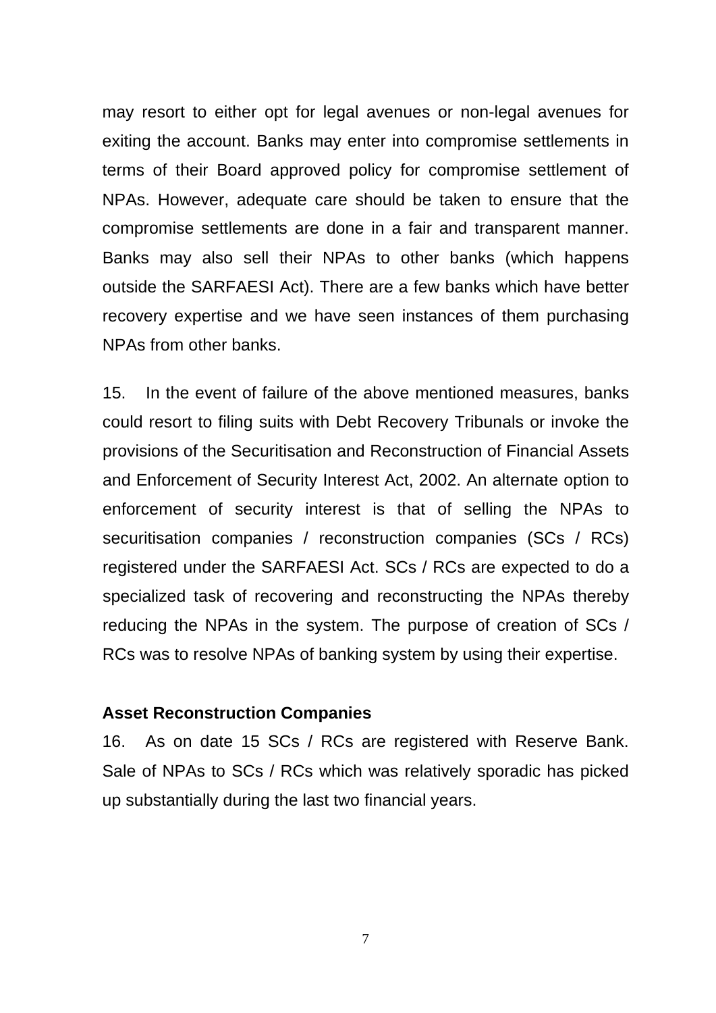may resort to either opt for legal avenues or non-legal avenues for exiting the account. Banks may enter into compromise settlements in terms of their Board approved policy for compromise settlement of NPAs. However, adequate care should be taken to ensure that the compromise settlements are done in a fair and transparent manner. Banks may also sell their NPAs to other banks (which happens outside the SARFAESI Act). There are a few banks which have better recovery expertise and we have seen instances of them purchasing NPAs from other banks.

15. In the event of failure of the above mentioned measures, banks could resort to filing suits with Debt Recovery Tribunals or invoke the provisions of the Securitisation and Reconstruction of Financial Assets and Enforcement of Security Interest Act, 2002. An alternate option to enforcement of security interest is that of selling the NPAs to securitisation companies / reconstruction companies (SCs / RCs) registered under the SARFAESI Act. SCs / RCs are expected to do a specialized task of recovering and reconstructing the NPAs thereby reducing the NPAs in the system. The purpose of creation of SCs / RCs was to resolve NPAs of banking system by using their expertise.

### **Asset Reconstruction Companies**

16. As on date 15 SCs / RCs are registered with Reserve Bank. Sale of NPAs to SCs / RCs which was relatively sporadic has picked up substantially during the last two financial years.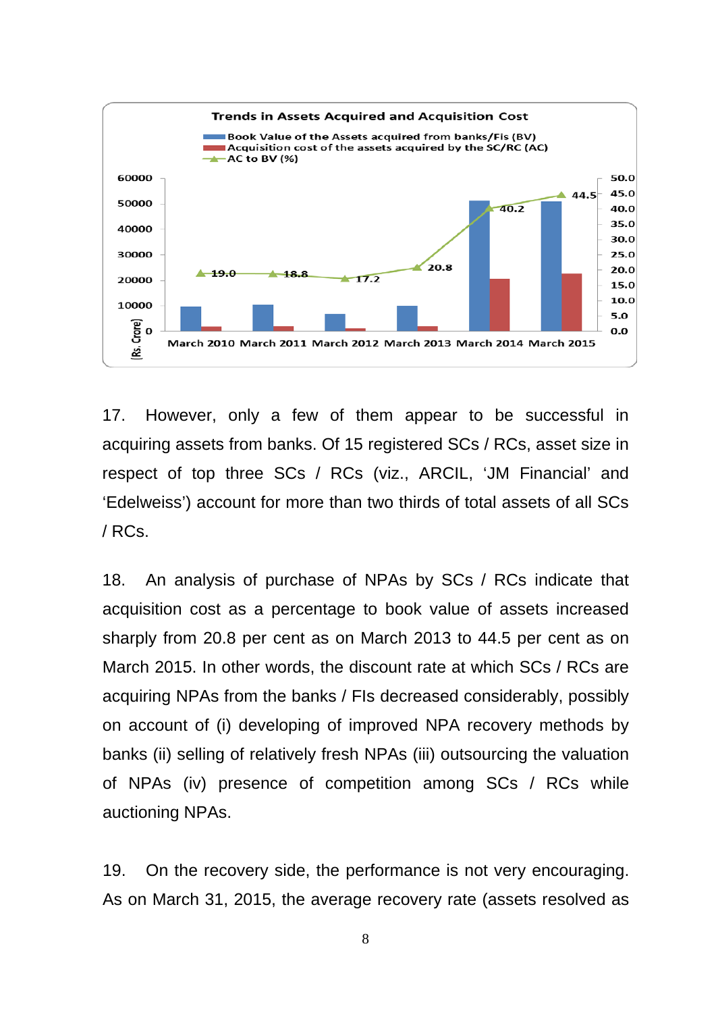

17. However, only a few of them appear to be successful in acquiring assets from banks. Of 15 registered SCs / RCs, asset size in respect of top three SCs / RCs (viz., ARCIL, 'JM Financial' and 'Edelweiss') account for more than two thirds of total assets of all SCs / RCs.

18. An analysis of purchase of NPAs by SCs / RCs indicate that acquisition cost as a percentage to book value of assets increased sharply from 20.8 per cent as on March 2013 to 44.5 per cent as on March 2015. In other words, the discount rate at which SCs / RCs are acquiring NPAs from the banks / FIs decreased considerably, possibly on account of (i) developing of improved NPA recovery methods by banks (ii) selling of relatively fresh NPAs (iii) outsourcing the valuation of NPAs (iv) presence of competition among SCs / RCs while auctioning NPAs.

19. On the recovery side, the performance is not very encouraging. As on March 31, 2015, the average recovery rate (assets resolved as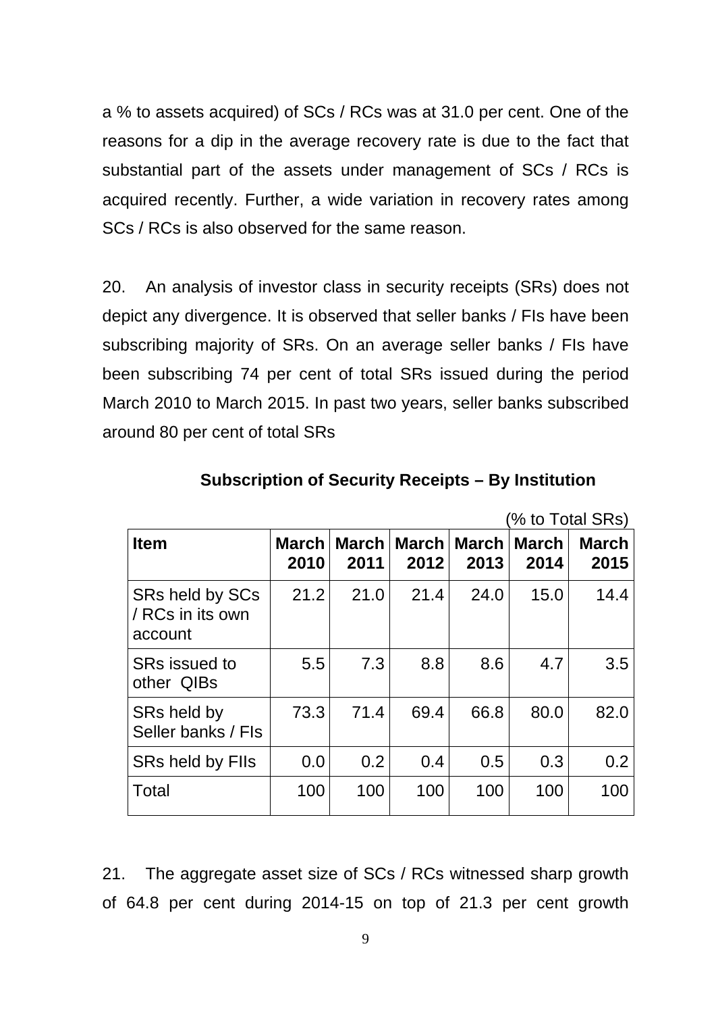a % to assets acquired) of SCs / RCs was at 31.0 per cent. One of the reasons for a dip in the average recovery rate is due to the fact that substantial part of the assets under management of SCs / RCs is acquired recently. Further, a wide variation in recovery rates among SCs / RCs is also observed for the same reason.

20. An analysis of investor class in security receipts (SRs) does not depict any divergence. It is observed that seller banks / FIs have been subscribing majority of SRs. On an average seller banks / FIs have been subscribing 74 per cent of total SRs issued during the period March 2010 to March 2015. In past two years, seller banks subscribed around 80 per cent of total SRs

|                                                |                      |      |                               |      | $20 - 10$            |                      |
|------------------------------------------------|----------------------|------|-------------------------------|------|----------------------|----------------------|
| <b>Item</b>                                    | <b>March</b><br>2010 | 2011 | March   March   March<br>2012 | 2013 | <b>March</b><br>2014 | <b>March</b><br>2015 |
| SRs held by SCs<br>/ RCs in its own<br>account | 21.2                 | 21.0 | 21.4                          | 24.0 | 15.0                 | 14.4                 |
| SRs issued to<br>other QIBs                    | 5.5                  | 7.3  | 8.8                           | 8.6  | 4.7                  | 3.5                  |
| SRs held by<br>Seller banks / Fls              | 73.3                 | 71.4 | 69.4                          | 66.8 | 80.0                 | 82.0                 |
| SRs held by Flis                               | 0.0                  | 0.2  | 0.4                           | 0.5  | 0.3 <sub>2</sub>     | 0.2                  |
| Total                                          | 100                  | 100  | 100                           | 100  | 100                  | 100                  |

**Subscription of Security Receipts – By Institution**

(% to Total SRs)

21. The aggregate asset size of SCs / RCs witnessed sharp growth of 64.8 per cent during 2014-15 on top of 21.3 per cent growth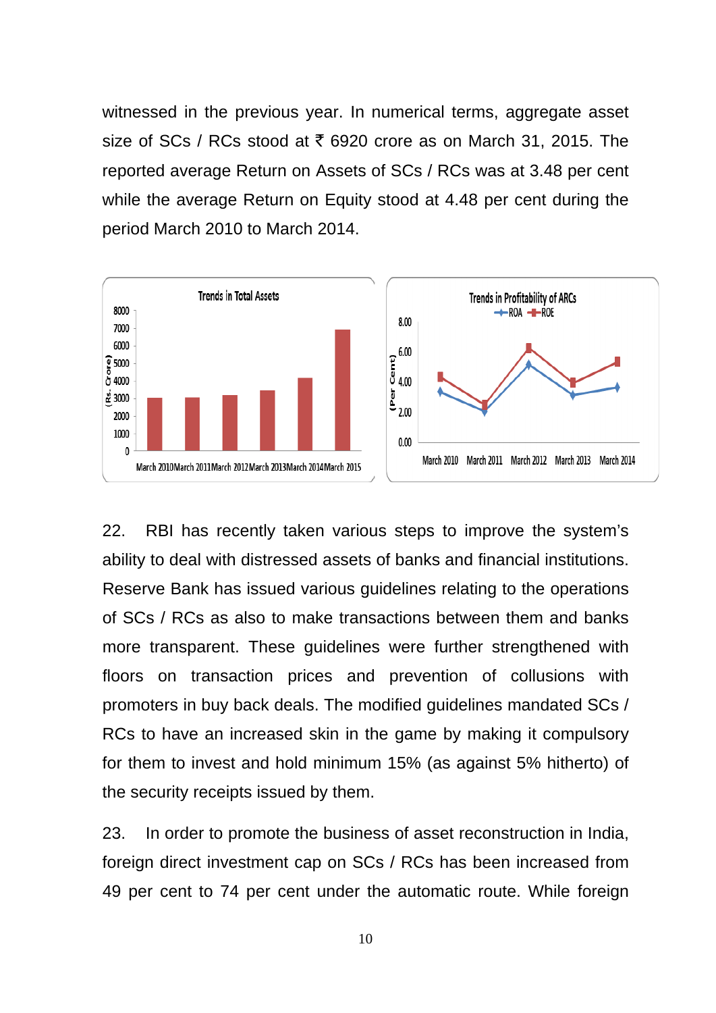witnessed in the previous year. In numerical terms, aggregate asset size of SCs / RCs stood at  $\bar{\tau}$  6920 crore as on March 31, 2015. The reported average Return on Assets of SCs / RCs was at 3.48 per cent while the average Return on Equity stood at 4.48 per cent during the period March 2010 to March 2014.



22. RBI has recently taken various steps to improve the system's ability to deal with distressed assets of banks and financial institutions. Reserve Bank has issued various guidelines relating to the operations of SCs / RCs as also to make transactions between them and banks more transparent. These guidelines were further strengthened with floors on transaction prices and prevention of collusions with promoters in buy back deals. The modified guidelines mandated SCs / RCs to have an increased skin in the game by making it compulsory for them to invest and hold minimum 15% (as against 5% hitherto) of the security receipts issued by them.

23. In order to promote the business of asset reconstruction in India, foreign direct investment cap on SCs / RCs has been increased from 49 per cent to 74 per cent under the automatic route. While foreign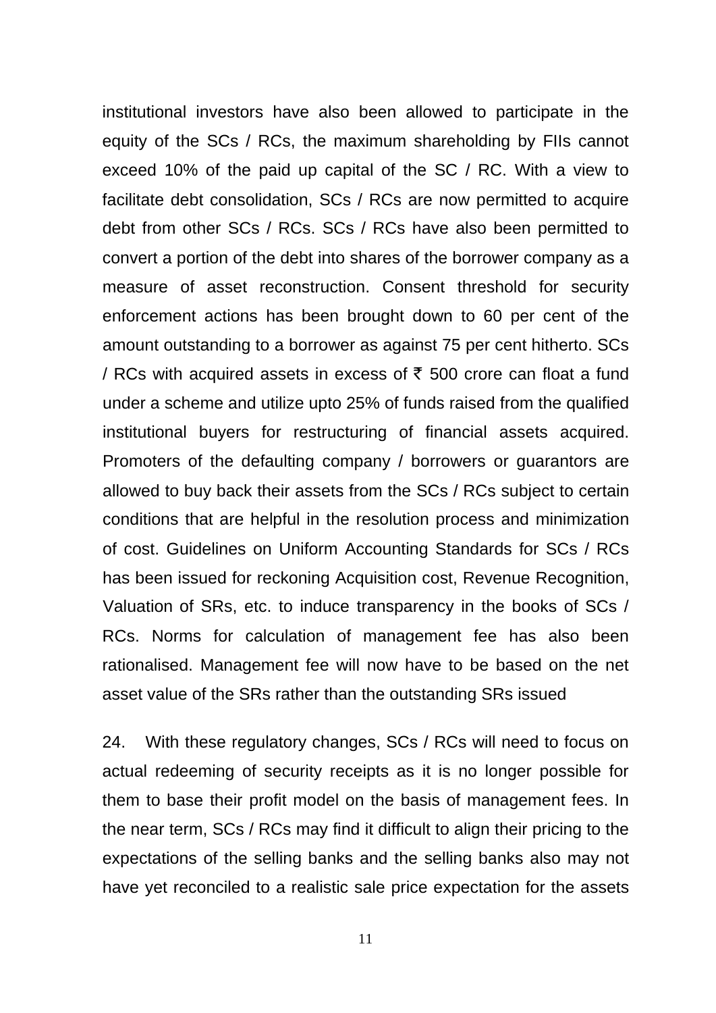institutional investors have also been allowed to participate in the equity of the SCs / RCs, the maximum shareholding by FIIs cannot exceed 10% of the paid up capital of the SC / RC. With a view to facilitate debt consolidation, SCs / RCs are now permitted to acquire debt from other SCs / RCs. SCs / RCs have also been permitted to convert a portion of the debt into shares of the borrower company as a measure of asset reconstruction. Consent threshold for security enforcement actions has been brought down to 60 per cent of the amount outstanding to a borrower as against 75 per cent hitherto. SCs / RCs with acquired assets in excess of  $\bar{\tau}$  500 crore can float a fund under a scheme and utilize upto 25% of funds raised from the qualified institutional buyers for restructuring of financial assets acquired. Promoters of the defaulting company / borrowers or guarantors are allowed to buy back their assets from the SCs / RCs subject to certain conditions that are helpful in the resolution process and minimization of cost. Guidelines on Uniform Accounting Standards for SCs / RCs has been issued for reckoning Acquisition cost, Revenue Recognition, Valuation of SRs, etc. to induce transparency in the books of SCs / RCs. Norms for calculation of management fee has also been rationalised. Management fee will now have to be based on the net asset value of the SRs rather than the outstanding SRs issued

24. With these regulatory changes, SCs / RCs will need to focus on actual redeeming of security receipts as it is no longer possible for them to base their profit model on the basis of management fees. In the near term, SCs / RCs may find it difficult to align their pricing to the expectations of the selling banks and the selling banks also may not have yet reconciled to a realistic sale price expectation for the assets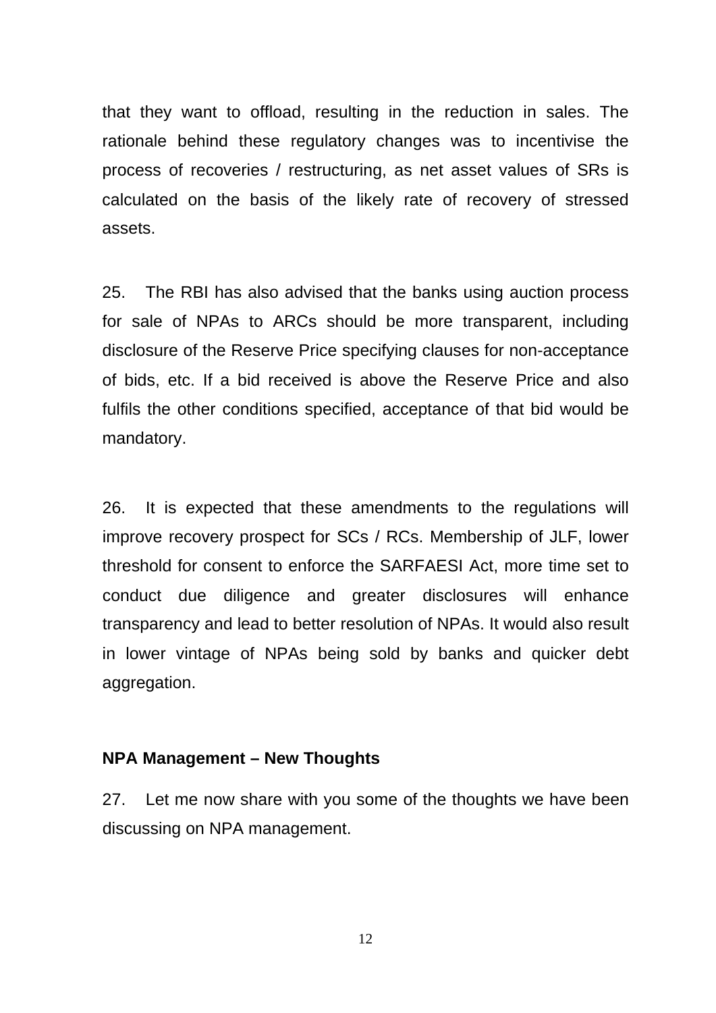that they want to offload, resulting in the reduction in sales. The rationale behind these regulatory changes was to incentivise the process of recoveries / restructuring, as net asset values of SRs is calculated on the basis of the likely rate of recovery of stressed assets.

25. The RBI has also advised that the banks using auction process for sale of NPAs to ARCs should be more transparent, including disclosure of the Reserve Price specifying clauses for non-acceptance of bids, etc. If a bid received is above the Reserve Price and also fulfils the other conditions specified, acceptance of that bid would be mandatory.

26. It is expected that these amendments to the regulations will improve recovery prospect for SCs / RCs. Membership of JLF, lower threshold for consent to enforce the SARFAESI Act, more time set to conduct due diligence and greater disclosures will enhance transparency and lead to better resolution of NPAs. It would also result in lower vintage of NPAs being sold by banks and quicker debt aggregation.

### **NPA Management – New Thoughts**

27. Let me now share with you some of the thoughts we have been discussing on NPA management.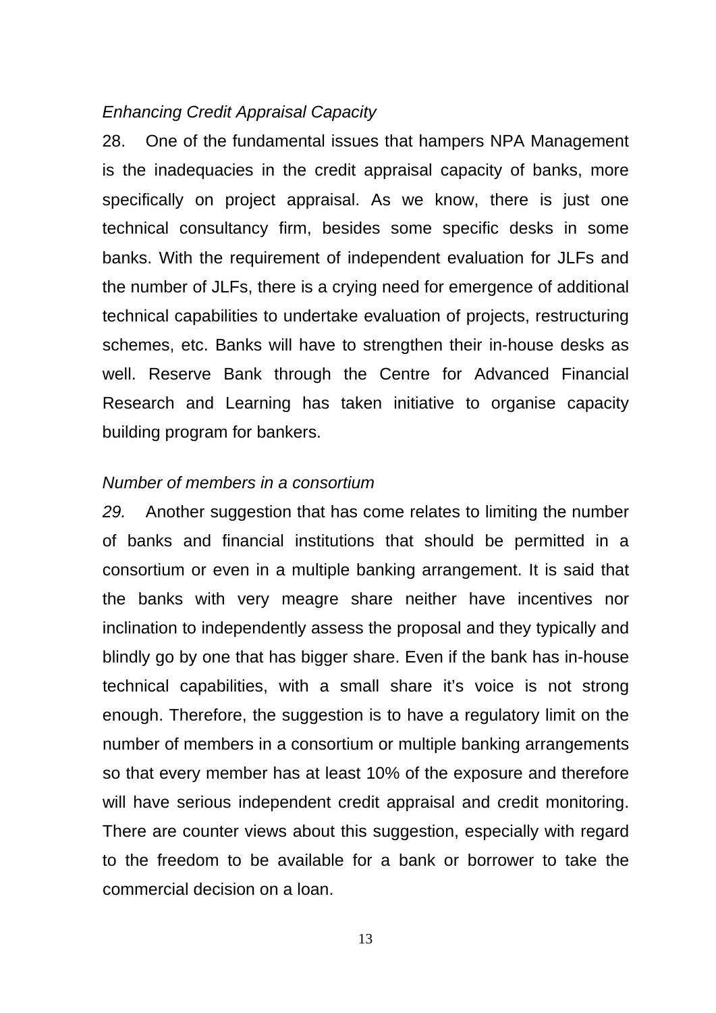### *Enhancing Credit Appraisal Capacity*

28. One of the fundamental issues that hampers NPA Management is the inadequacies in the credit appraisal capacity of banks, more specifically on project appraisal. As we know, there is just one technical consultancy firm, besides some specific desks in some banks. With the requirement of independent evaluation for JLFs and the number of JLFs, there is a crying need for emergence of additional technical capabilities to undertake evaluation of projects, restructuring schemes, etc. Banks will have to strengthen their in-house desks as well. Reserve Bank through the Centre for Advanced Financial Research and Learning has taken initiative to organise capacity building program for bankers.

### *Number of members in a consortium*

*29.* Another suggestion that has come relates to limiting the number of banks and financial institutions that should be permitted in a consortium or even in a multiple banking arrangement. It is said that the banks with very meagre share neither have incentives nor inclination to independently assess the proposal and they typically and blindly go by one that has bigger share. Even if the bank has in-house technical capabilities, with a small share it's voice is not strong enough. Therefore, the suggestion is to have a regulatory limit on the number of members in a consortium or multiple banking arrangements so that every member has at least 10% of the exposure and therefore will have serious independent credit appraisal and credit monitoring. There are counter views about this suggestion, especially with regard to the freedom to be available for a bank or borrower to take the commercial decision on a loan.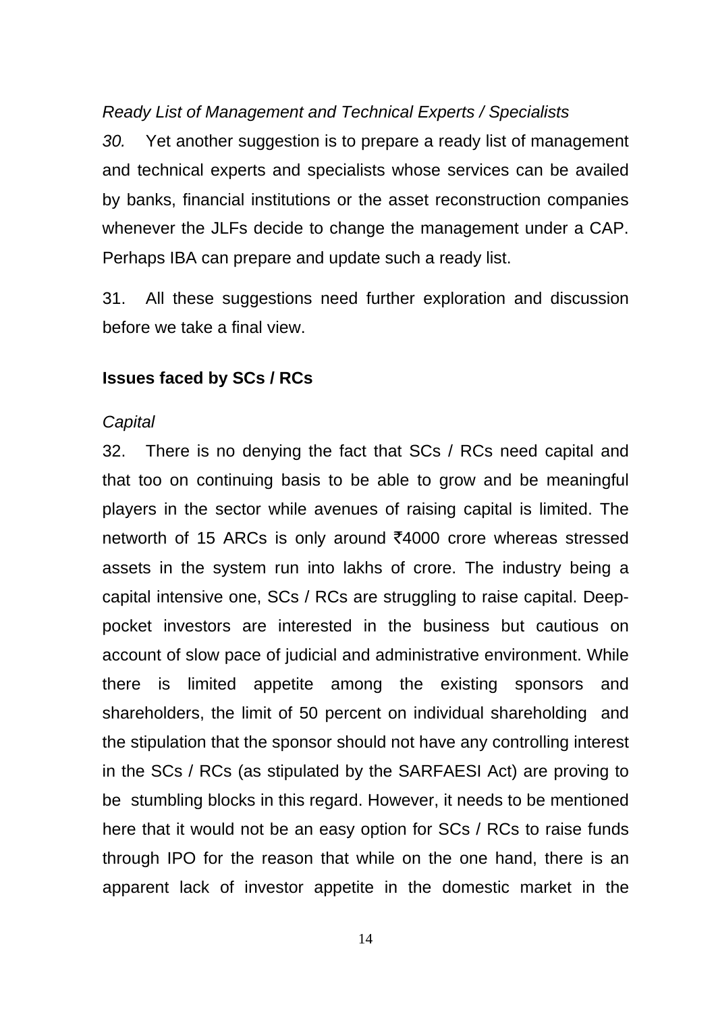### *Ready List of Management and Technical Experts / Specialists*

*30.* Yet another suggestion is to prepare a ready list of management and technical experts and specialists whose services can be availed by banks, financial institutions or the asset reconstruction companies whenever the JLFs decide to change the management under a CAP. Perhaps IBA can prepare and update such a ready list.

31. All these suggestions need further exploration and discussion before we take a final view.

#### **Issues faced by SCs / RCs**

#### *Capital*

32. There is no denying the fact that SCs / RCs need capital and that too on continuing basis to be able to grow and be meaningful players in the sector while avenues of raising capital is limited. The networth of 15 ARCs is only around  $\overline{4000}$  crore whereas stressed assets in the system run into lakhs of crore. The industry being a capital intensive one, SCs / RCs are struggling to raise capital. Deeppocket investors are interested in the business but cautious on account of slow pace of judicial and administrative environment. While there is limited appetite among the existing sponsors and shareholders, the limit of 50 percent on individual shareholding and the stipulation that the sponsor should not have any controlling interest in the SCs / RCs (as stipulated by the SARFAESI Act) are proving to be stumbling blocks in this regard. However, it needs to be mentioned here that it would not be an easy option for SCs / RCs to raise funds through IPO for the reason that while on the one hand, there is an apparent lack of investor appetite in the domestic market in the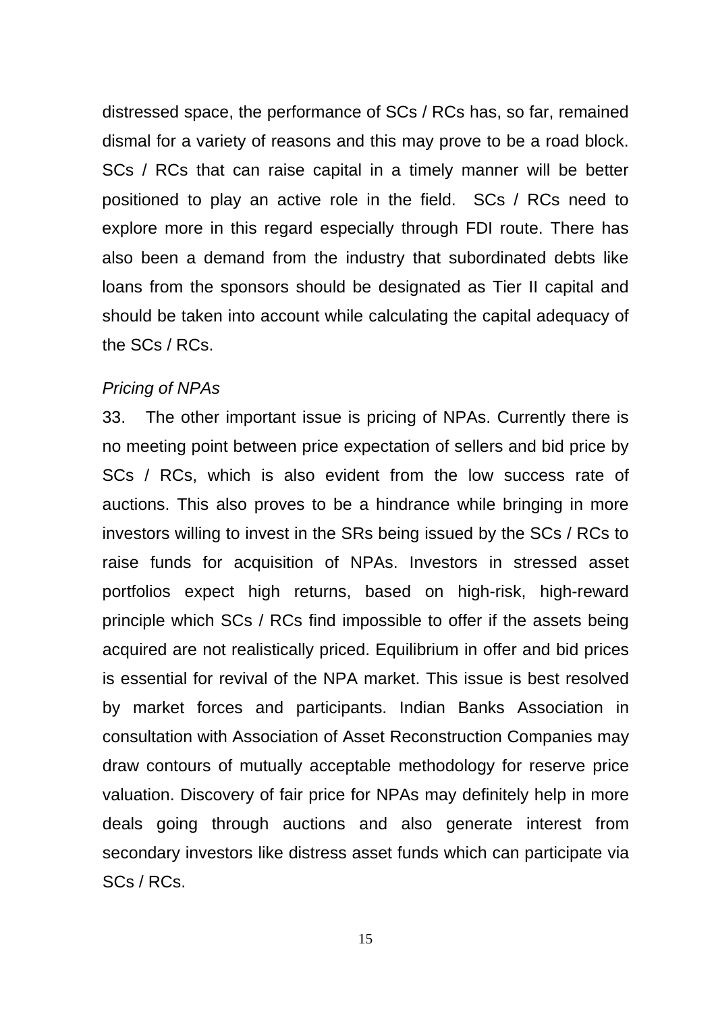distressed space, the performance of SCs / RCs has, so far, remained dismal for a variety of reasons and this may prove to be a road block. SCs / RCs that can raise capital in a timely manner will be better positioned to play an active role in the field. SCs / RCs need to explore more in this regard especially through FDI route. There has also been a demand from the industry that subordinated debts like loans from the sponsors should be designated as Tier II capital and should be taken into account while calculating the capital adequacy of the SCs / RCs.

#### *Pricing of NPAs*

33. The other important issue is pricing of NPAs. Currently there is no meeting point between price expectation of sellers and bid price by SCs / RCs, which is also evident from the low success rate of auctions. This also proves to be a hindrance while bringing in more investors willing to invest in the SRs being issued by the SCs / RCs to raise funds for acquisition of NPAs. Investors in stressed asset portfolios expect high returns, based on high-risk, high-reward principle which SCs / RCs find impossible to offer if the assets being acquired are not realistically priced. Equilibrium in offer and bid prices is essential for revival of the NPA market. This issue is best resolved by market forces and participants. Indian Banks Association in consultation with Association of Asset Reconstruction Companies may draw contours of mutually acceptable methodology for reserve price valuation. Discovery of fair price for NPAs may definitely help in more deals going through auctions and also generate interest from secondary investors like distress asset funds which can participate via SCs / RCs.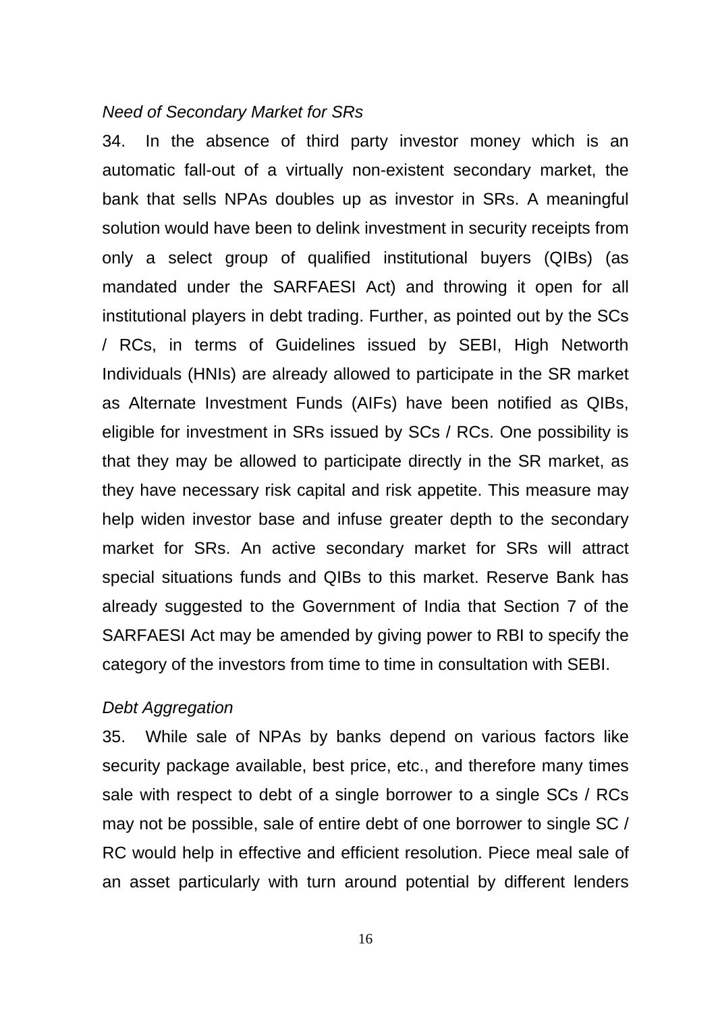#### *Need of Secondary Market for SRs*

34. In the absence of third party investor money which is an automatic fall-out of a virtually non-existent secondary market, the bank that sells NPAs doubles up as investor in SRs. A meaningful solution would have been to delink investment in security receipts from only a select group of qualified institutional buyers (QIBs) (as mandated under the SARFAESI Act) and throwing it open for all institutional players in debt trading. Further, as pointed out by the SCs / RCs, in terms of Guidelines issued by SEBI, High Networth Individuals (HNIs) are already allowed to participate in the SR market as Alternate Investment Funds (AIFs) have been notified as QIBs, eligible for investment in SRs issued by SCs / RCs. One possibility is that they may be allowed to participate directly in the SR market, as they have necessary risk capital and risk appetite. This measure may help widen investor base and infuse greater depth to the secondary market for SRs. An active secondary market for SRs will attract special situations funds and QIBs to this market. Reserve Bank has already suggested to the Government of India that Section 7 of the SARFAESI Act may be amended by giving power to RBI to specify the category of the investors from time to time in consultation with SEBI.

### *Debt Aggregation*

35. While sale of NPAs by banks depend on various factors like security package available, best price, etc., and therefore many times sale with respect to debt of a single borrower to a single SCs / RCs may not be possible, sale of entire debt of one borrower to single SC / RC would help in effective and efficient resolution. Piece meal sale of an asset particularly with turn around potential by different lenders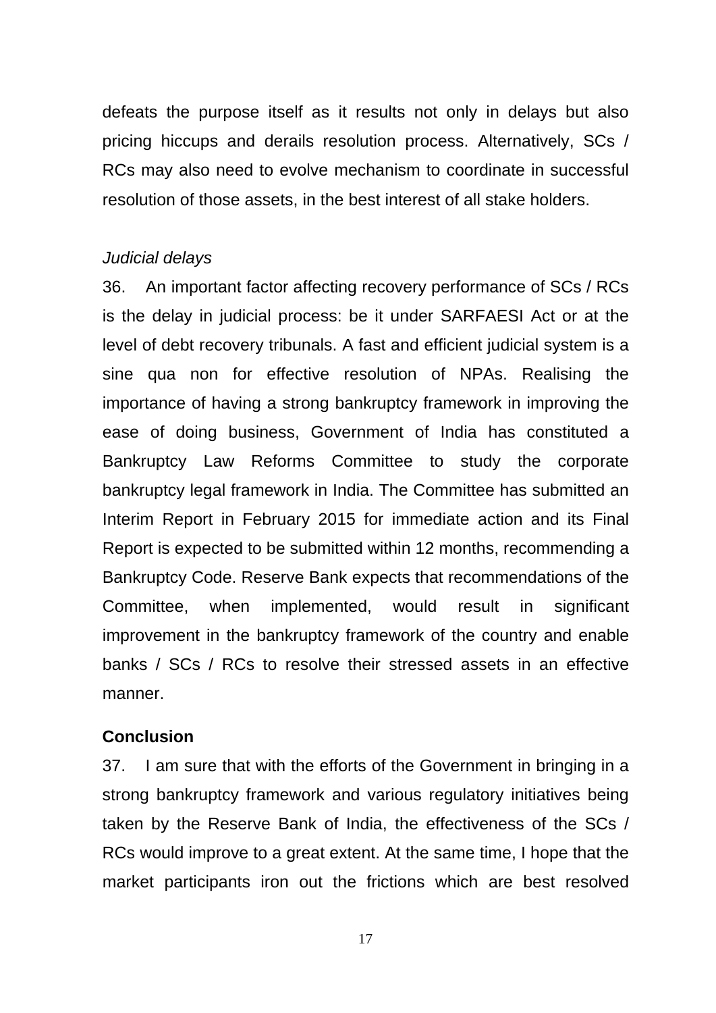defeats the purpose itself as it results not only in delays but also pricing hiccups and derails resolution process. Alternatively, SCs / RCs may also need to evolve mechanism to coordinate in successful resolution of those assets, in the best interest of all stake holders.

#### *Judicial delays*

36. An important factor affecting recovery performance of SCs / RCs is the delay in judicial process: be it under SARFAESI Act or at the level of debt recovery tribunals. A fast and efficient judicial system is a sine qua non for effective resolution of NPAs. Realising the importance of having a strong bankruptcy framework in improving the ease of doing business, Government of India has constituted a Bankruptcy Law Reforms Committee to study the corporate bankruptcy legal framework in India. The Committee has submitted an Interim Report in February 2015 for immediate action and its Final Report is expected to be submitted within 12 months, recommending a Bankruptcy Code. Reserve Bank expects that recommendations of the Committee, when implemented, would result in significant improvement in the bankruptcy framework of the country and enable banks / SCs / RCs to resolve their stressed assets in an effective manner.

### **Conclusion**

37. I am sure that with the efforts of the Government in bringing in a strong bankruptcy framework and various regulatory initiatives being taken by the Reserve Bank of India, the effectiveness of the SCs / RCs would improve to a great extent. At the same time, I hope that the market participants iron out the frictions which are best resolved